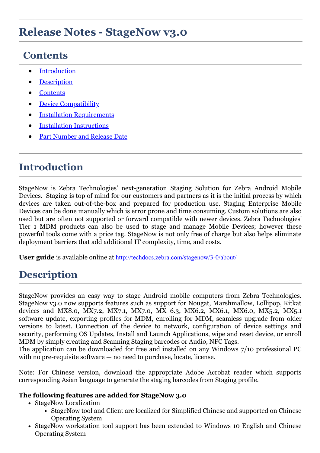## **Contents**

- **[Introduction](#page-0-0)**
- **[Description](#page-0-1)**
- **[Contents](#page-0-2)**
- **[Device Compatibility](#page-1-0)**
- **[Installation Requirements](#page-1-1)**
- · [Installation Instructions](#page-2-0)
- Part Number and Release Date

## <span id="page-0-0"></span>**Introduction**

StageNow is Zebra Technologies' next-generation Staging Solution for Zebra Android Mobile Devices. Staging is top of mind for our customers and partners as it is the initial process by which devices are taken out-of-the-box and prepared for production use. Staging Enterprise Mobile Devices can be done manually which is error prone and time consuming. Custom solutions are also used but are often not supported or forward compatible with newer devices. Zebra Technologies' Tier 1 MDM products can also be used to stage and manage Mobile Devices; however these powerful tools come with a price tag. StageNow is not only free of charge but also helps eliminate deployment barriers that add additional IT complexity, time, and costs.

**User guide** is available online at <http://techdocs.zebra.com/stagenow/3-0/about/>

# <span id="page-0-1"></span>**Description**

StageNow provides an easy way to stage Android mobile computers from Zebra Technologies. StageNow v3.0 now supports features such as support for Nougat, Marshmallow, Lollipop, Kitkat devices and MX8.0, MX7.2, MX7.1, MX7.0, MX 6.3, MX6.2, MX6.1, MX6.0, MX5.2, MX5.1 software update, exporting profiles for MDM, enrolling for MDM, seamless upgrade from older versions to latest. Connection of the device to network, configuration of device settings and security, performing OS Updates, Install and Launch Applications, wipe and reset device, or enroll MDM by simply creating and Scanning Staging barcodes or Audio, NFC Tags.

The application can be downloaded for free and installed on any Windows 7/10 professional PC with no pre-requisite software — no need to purchase, locate, license.

Note: For Chinese version, download the appropriate Adobe Acrobat reader which supports corresponding Asian language to generate the staging barcodes from Staging profile.

#### <span id="page-0-2"></span>**The following features are added for StageNow 3.0**

- StageNow Localization
	- StageNow tool and Client are localized for Simplified Chinese and supported on Chinese Operating System
- StageNow workstation tool support has been extended to Windows 10 English and Chinese Operating System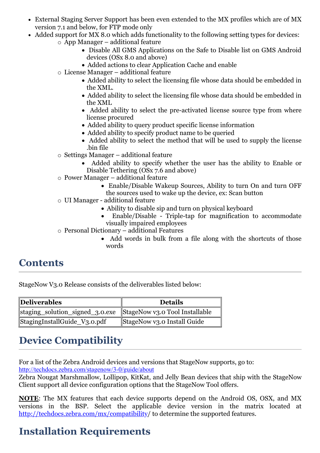- External Staging Server Support has been even extended to the MX profiles which are of MX version 7.1 and below, for FTP mode only
- Added support for MX 8.0 which adds functionality to the following setting types for devices:
	- o App Manager additional feature
		- · Disable All GMS Applications on the Safe to Disable list on GMS Android devices (OSx 8.0 and above)
		- · Added actions to clear Application Cache and enable
		- o License Manager additional feature
			- · Added ability to select the licensing file whose data should be embedded in the XML.
			- · Added ability to select the licensing file whose data should be embedded in the XML
			- Added ability to select the pre-activated license source type from where license procured
			- · Added ability to query product specific license information
			- · Added ability to specify product name to be queried
			- · Added ability to select the method that will be used to supply the license .bin file
		- o Settings Manager additional feature
			- · Added ability to specify whether the user has the ability to Enable or Disable Tethering (OSx 7.6 and above)
		- o Power Manager additional feature
			- · Enable/Disable Wakeup Sources, Ability to turn On and turn OFF the sources used to wake up the device, ex: Scan button
		- o UI Manager additional feature
			- · Ability to disable sip and turn on physical keyboard
			- · Enable/Disable Triple-tap for magnification to accommodate visually impaired employees
		- o Personal Dictionary additional Features
			- · Add words in bulk from a file along with the shortcuts of those words

### **Contents**

StageNow V3.0 Release consists of the deliverables listed below:

| Deliverables                                                   | <b>Details</b>              |
|----------------------------------------------------------------|-----------------------------|
| staging_solution_signed_3.0.exe StageNow v3.0 Tool Installable |                             |
| StagingInstallGuide_V3.0.pdf                                   | StageNow v3.0 Install Guide |

## <span id="page-1-0"></span>**Device Compatibility**

<span id="page-1-1"></span>For a list of the Zebra Android devices and versions that StageNow supports, go to: <http://techdocs.zebra.com/stagenow/3-0/guide/about>

Zebra Nougat Marshmallow, Lollipop, KitKat, and Jelly Bean devices that ship with the StageNow Client support all device configuration options that the StageNow Tool offers.

**NOTE**: The MX features that each device supports depend on the Android OS, OSX, and MX versions in the BSP. Select the applicable device version in the matrix located at <http://techdocs.zebra.com/mx/compatibility>/ to determine the supported features.

# **Installation Requirements**